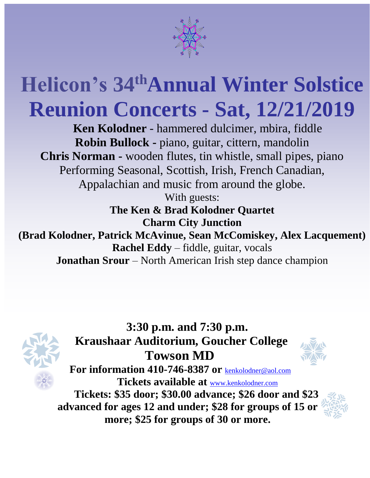

## **Helicon's 34 thAnnual Winter Solstice Reunion Concerts - Sat, 12/21/2019**

**Ken Kolodner** - hammered dulcimer, mbira, fiddle **Robin Bullock -** piano, guitar, cittern, mandolin **Chris Norman -** wooden flutes, tin whistle, small pipes, piano Performing Seasonal, Scottish, Irish, French Canadian, Appalachian and music from around the globe. With guests:

**The Ken & Brad Kolodner Quartet Charm City Junction** 

**M Rachel Eddy** – fiddle, guitar, vocals **(Brad Kolodner, Patrick McAvinue, Sean McComiskey, Alex Lacquement) Jonathan Srour** – North American Irish step dance champion



**3:30 p.m. and 7:30 p.m. Kraushaar Auditorium, Goucher College Towson MD**



**For information 410-746-8387 or** [kenkolodner@aol.com](mailto:kenkolodner@aol.com) **Tickets available at** [www.kenkolodner.com](http://www.kenkolodner.com/)

**Tickets: \$35 door; \$30.00 advance; \$26 door and \$23 advanced for ages 12 and under; \$28 for groups of 15 or more; \$25 for groups of 30 or more.**